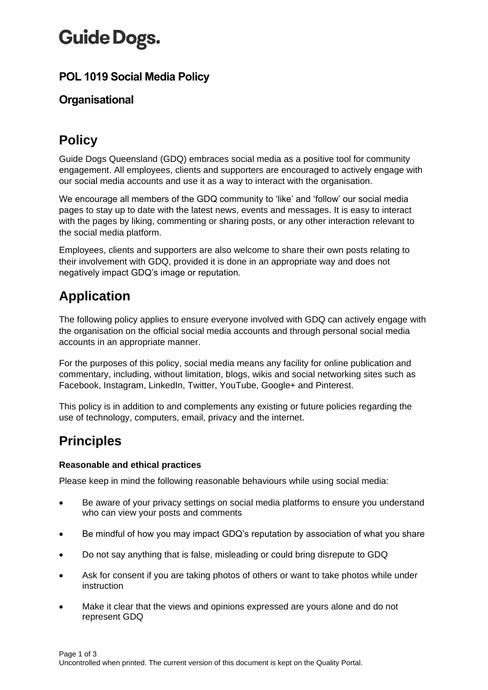# **Guide Dogs.**

### **POL 1019 Social Media Policy**

### **Organisational**

# **Policy**

Guide Dogs Queensland (GDQ) embraces social media as a positive tool for community engagement. All employees, clients and supporters are encouraged to actively engage with our social media accounts and use it as a way to interact with the organisation.

We encourage all members of the GDQ community to 'like' and 'follow' our social media pages to stay up to date with the latest news, events and messages. It is easy to interact with the pages by liking, commenting or sharing posts, or any other interaction relevant to the social media platform.

Employees, clients and supporters are also welcome to share their own posts relating to their involvement with GDQ, provided it is done in an appropriate way and does not negatively impact GDQ's image or reputation.

## **Application**

The following policy applies to ensure everyone involved with GDQ can actively engage with the organisation on the official social media accounts and through personal social media accounts in an appropriate manner.

For the purposes of this policy, social media means any facility for online publication and commentary, including, without limitation, blogs, wikis and social networking sites such as Facebook, Instagram, LinkedIn, Twitter, YouTube, Google+ and Pinterest.

This policy is in addition to and complements any existing or future policies regarding the use of technology, computers, email, privacy and the internet.

### **Principles**

#### **Reasonable and ethical practices**

Please keep in mind the following reasonable behaviours while using social media:

- Be aware of your privacy settings on social media platforms to ensure you understand who can view your posts and comments
- Be mindful of how you may impact GDQ's reputation by association of what you share
- Do not say anything that is false, misleading or could bring disrepute to GDQ
- Ask for consent if you are taking photos of others or want to take photos while under instruction
- Make it clear that the views and opinions expressed are yours alone and do not represent GDQ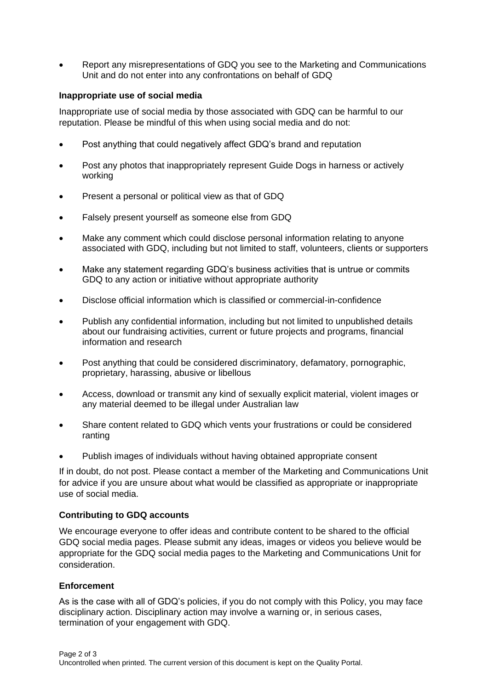• Report any misrepresentations of GDQ you see to the Marketing and Communications Unit and do not enter into any confrontations on behalf of GDQ

#### **Inappropriate use of social media**

Inappropriate use of social media by those associated with GDQ can be harmful to our reputation. Please be mindful of this when using social media and do not:

- Post anything that could negatively affect GDQ's brand and reputation
- Post any photos that inappropriately represent Guide Dogs in harness or actively working
- Present a personal or political view as that of GDQ
- Falsely present yourself as someone else from GDQ
- Make any comment which could disclose personal information relating to anyone associated with GDQ, including but not limited to staff, volunteers, clients or supporters
- Make any statement regarding GDQ's business activities that is untrue or commits GDQ to any action or initiative without appropriate authority
- Disclose official information which is classified or commercial-in-confidence
- Publish any confidential information, including but not limited to unpublished details about our fundraising activities, current or future projects and programs, financial information and research
- Post anything that could be considered discriminatory, defamatory, pornographic, proprietary, harassing, abusive or libellous
- Access, download or transmit any kind of sexually explicit material, violent images or any material deemed to be illegal under Australian law
- Share content related to GDQ which vents your frustrations or could be considered ranting
- Publish images of individuals without having obtained appropriate consent

If in doubt, do not post. Please contact a member of the Marketing and Communications Unit for advice if you are unsure about what would be classified as appropriate or inappropriate use of social media.

#### **Contributing to GDQ accounts**

We encourage everyone to offer ideas and contribute content to be shared to the official GDQ social media pages. Please submit any ideas, images or videos you believe would be appropriate for the GDQ social media pages to the Marketing and Communications Unit for consideration.

#### **Enforcement**

As is the case with all of GDQ's policies, if you do not comply with this Policy, you may face disciplinary action. Disciplinary action may involve a warning or, in serious cases, termination of your engagement with GDQ.